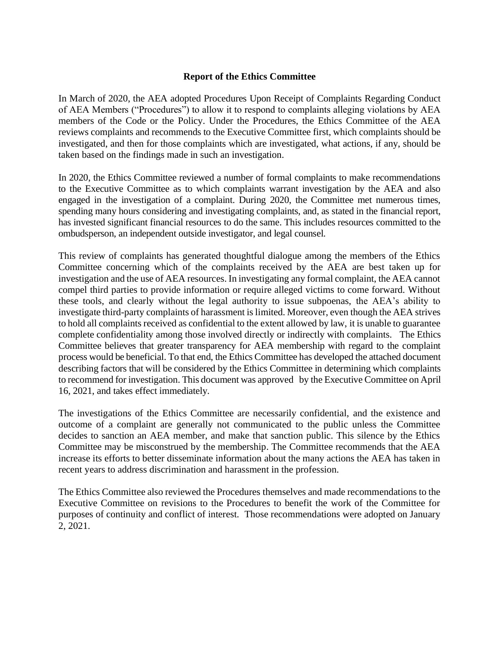## **Report of the Ethics Committee**

In March of 2020, the AEA adopted Procedures Upon Receipt of Complaints Regarding Conduct of AEA Members ("Procedures") to allow it to respond to complaints alleging violations by AEA members of the Code or the Policy. Under the Procedures, the Ethics Committee of the AEA reviews complaints and recommends to the Executive Committee first, which complaints should be investigated, and then for those complaints which are investigated, what actions, if any, should be taken based on the findings made in such an investigation.

In 2020, the Ethics Committee reviewed a number of formal complaints to make recommendations to the Executive Committee as to which complaints warrant investigation by the AEA and also engaged in the investigation of a complaint. During 2020, the Committee met numerous times, spending many hours considering and investigating complaints, and, as stated in the financial report, has invested significant financial resources to do the same. This includes resources committed to the ombudsperson, an independent outside investigator, and legal counsel.

This review of complaints has generated thoughtful dialogue among the members of the Ethics Committee concerning which of the complaints received by the AEA are best taken up for investigation and the use of AEA resources. In investigating any formal complaint, the AEA cannot compel third parties to provide information or require alleged victims to come forward. Without these tools, and clearly without the legal authority to issue subpoenas, the AEA's ability to investigate third-party complaints of harassment islimited. Moreover, even though the AEA strives to hold all complaints received as confidential to the extent allowed by law, it is unable to guarantee complete confidentiality among those involved directly or indirectly with complaints. The Ethics Committee believes that greater transparency for AEA membership with regard to the complaint process would be beneficial. To that end, the Ethics Committee has developed the attached document describing factors that will be considered by the Ethics Committee in determining which complaints to recommend for investigation. This document was approved by the Executive Committee on April 16, 2021, and takes effect immediately.

The investigations of the Ethics Committee are necessarily confidential, and the existence and outcome of a complaint are generally not communicated to the public unless the Committee decides to sanction an AEA member, and make that sanction public. This silence by the Ethics Committee may be misconstrued by the membership. The Committee recommends that the AEA increase its efforts to better disseminate information about the many actions the AEA has taken in recent years to address discrimination and harassment in the profession.

The Ethics Committee also reviewed the Procedures themselves and made recommendations to the Executive Committee on revisions to the Procedures to benefit the work of the Committee for purposes of continuity and conflict of interest. Those recommendations were adopted on January 2, 2021.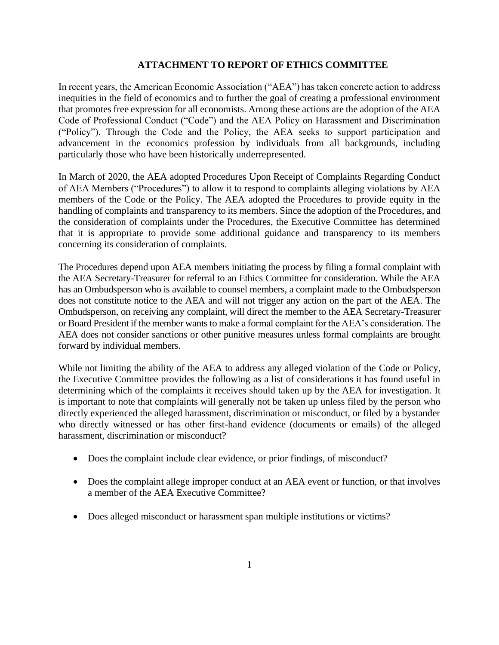## **ATTACHMENT TO REPORT OF ETHICS COMMITTEE**

In recent years, the American Economic Association ("AEA") has taken concrete action to address inequities in the field of economics and to further the goal of creating a professional environment that promotes free expression for all economists. Among these actions are the adoption of the AEA Code of Professional Conduct ("Code") and the AEA Policy on Harassment and Discrimination ("Policy"). Through the Code and the Policy, the AEA seeks to support participation and advancement in the economics profession by individuals from all backgrounds, including particularly those who have been historically underrepresented.

In March of 2020, the AEA adopted Procedures Upon Receipt of Complaints Regarding Conduct of AEA Members ("Procedures") to allow it to respond to complaints alleging violations by AEA members of the Code or the Policy. The AEA adopted the Procedures to provide equity in the handling of complaints and transparency to its members. Since the adoption of the Procedures, and the consideration of complaints under the Procedures, the Executive Committee has determined that it is appropriate to provide some additional guidance and transparency to its members concerning its consideration of complaints.

The Procedures depend upon AEA members initiating the process by filing a formal complaint with the AEA Secretary-Treasurer for referral to an Ethics Committee for consideration. While the AEA has an Ombudsperson who is available to counsel members, a complaint made to the Ombudsperson does not constitute notice to the AEA and will not trigger any action on the part of the AEA. The Ombudsperson, on receiving any complaint, will direct the member to the AEA Secretary-Treasurer or Board President if the member wants to make a formal complaint for the AEA's consideration. The AEA does not consider sanctions or other punitive measures unless formal complaints are brought forward by individual members.

While not limiting the ability of the AEA to address any alleged violation of the Code or Policy, the Executive Committee provides the following as a list of considerations it has found useful in determining which of the complaints it receives should taken up by the AEA for investigation. It is important to note that complaints will generally not be taken up unless filed by the person who directly experienced the alleged harassment, discrimination or misconduct, or filed by a bystander who directly witnessed or has other first-hand evidence (documents or emails) of the alleged harassment, discrimination or misconduct?

- Does the complaint include clear evidence, or prior findings, of misconduct?
- Does the complaint allege improper conduct at an AEA event or function, or that involves a member of the AEA Executive Committee?
- Does alleged misconduct or harassment span multiple institutions or victims?